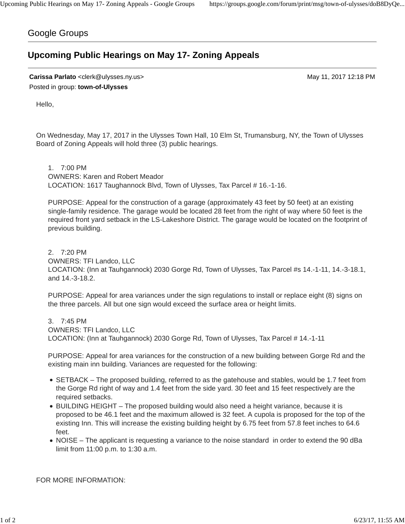## Google Groups

## **Upcoming Public Hearings on May 17- Zoning Appeals**

**Carissa Parlato** <clerk@ulysses.ny.us> May 11, 2017 12:18 PM Posted in group: **town-of-Ulysses**

Hello,

On Wednesday, May 17, 2017 in the Ulysses Town Hall, 10 Elm St, Trumansburg, NY, the Town of Ulysses Board of Zoning Appeals will hold three (3) public hearings.

1. 7:00 PM OWNERS: Karen and Robert Meador LOCATION: 1617 Taughannock Blvd, Town of Ulysses, Tax Parcel # 16.-1-16.

PURPOSE: Appeal for the construction of a garage (approximately 43 feet by 50 feet) at an existing single-family residence. The garage would be located 28 feet from the right of way where 50 feet is the required front yard setback in the LS-Lakeshore District. The garage would be located on the footprint of previous building.

## 2. 7:20 PM

OWNERS: TFI Landco, LLC

LOCATION: (Inn at Tauhgannock) 2030 Gorge Rd, Town of Ulysses, Tax Parcel #s 14.-1-11, 14.-3-18.1, and 14.-3-18.2.

PURPOSE: Appeal for area variances under the sign regulations to install or replace eight (8) signs on the three parcels. All but one sign would exceed the surface area or height limits.

3. 7:45 PM OWNERS: TFI Landco, LLC LOCATION: (Inn at Tauhgannock) 2030 Gorge Rd, Town of Ulysses, Tax Parcel # 14.-1-11

PURPOSE: Appeal for area variances for the construction of a new building between Gorge Rd and the existing main inn building. Variances are requested for the following:

- SETBACK The proposed building, referred to as the gatehouse and stables, would be 1.7 feet from the Gorge Rd right of way and 1.4 feet from the side yard. 30 feet and 15 feet respectively are the required setbacks.
- BUILDING HEIGHT The proposed building would also need a height variance, because it is proposed to be 46.1 feet and the maximum allowed is 32 feet. A cupola is proposed for the top of the existing Inn. This will increase the existing building height by 6.75 feet from 57.8 feet inches to 64.6 feet.
- NOISE The applicant is requesting a variance to the noise standard in order to extend the 90 dBa limit from 11:00 p.m. to 1:30 a.m.

FOR MORE INFORMATION: